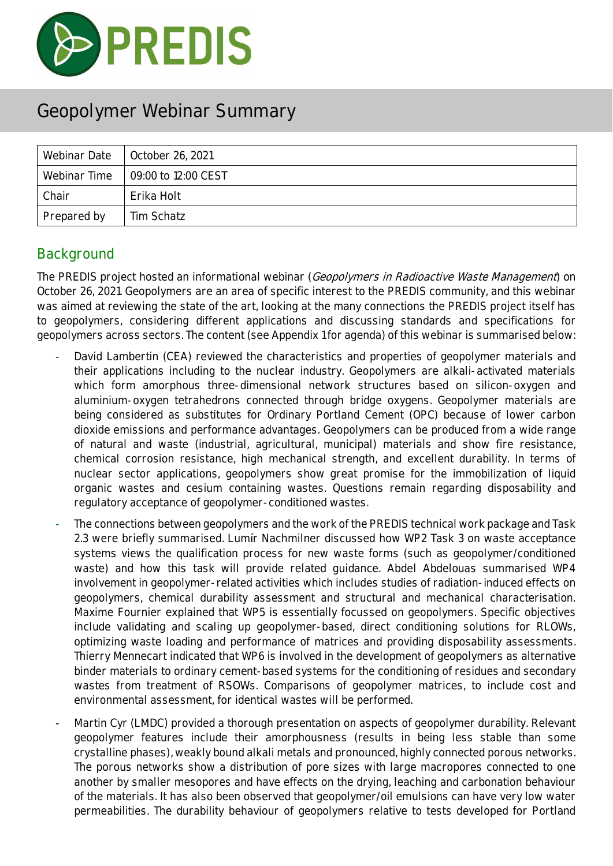

| Webinar Date | October 26, 2021    |
|--------------|---------------------|
| Webinar Time | 09:00 to 12:00 CEST |
| Chair        | Erika Holt          |
| Prepared by  | Tim Schatz          |

#### **Background**

The PREDIS project hosted an informational webinar (Geopolymers in Radioactive Waste Management) on October 26, 2021. Geopolymers are an area of specific interest to the PREDIS community, and this webinar was aimed at reviewing the state of the art, looking at the many connections the PREDIS project itself has to geopolymers, considering different applications and discussing standards and specifications for geopolymers across sectors. The content (see Appendix 1 for agenda) of this webinar is summarised below:

- David Lambertin (CEA) reviewed the characteristics and properties of geopolymer materials and their applications including to the nuclear industry. Geopolymers are alkali-activated materials which form amorphous three-dimensional network structures based on silicon-oxygen and aluminium-oxygen tetrahedrons connected through bridge oxygens. Geopolymer materials are being considered as substitutes for Ordinary Portland Cement (OPC) because of lower carbon dioxide emissions and performance advantages. Geopolymers can be produced from a wide range of natural and waste (industrial, agricultural, municipal) materials and show fire resistance, chemical corrosion resistance, high mechanical strength, and excellent durability. In terms of nuclear sector applications, geopolymers show great promise for the immobilization of liquid organic wastes and cesium containing wastes. Questions remain regarding disposability and regulatory acceptance of geopolymer-conditioned wastes.
- The connections between geopolymers and the work of the PREDIS technical work package and Task 2.3 were briefly summarised. Lumír Nachmilner discussed how WP2 Task 3 on waste acceptance systems views the qualification process for new waste forms (such as geopolymer/conditioned waste) and how this task will provide related guidance. Abdel Abdelouas summarised WP4 involvement in geopolymer-related activities which includes studies of radiation-induced effects on geopolymers, chemical durability assessment and structural and mechanical characterisation. Maxime Fournier explained that WP5 is essentially focussed on geopolymers. Specific objectives include validating and scaling up geopolymer-based, direct conditioning solutions for RLOWs, optimizing waste loading and performance of matrices and providing disposability assessments. Thierry Mennecart indicated that WP6 is involved in the development of geopolymers as alternative binder materials to ordinary cement-based systems for the conditioning of residues and secondary wastes from treatment of RSOWs. Comparisons of geopolymer matrices, to include cost and environmental assessment, for identical wastes will be performed.
- Martin Cyr (LMDC) provided a thorough presentation on aspects of geopolymer durability. Relevant geopolymer features include their amorphousness (results in being less stable than some crystalline phases), weakly bound alkali metals and pronounced, highly connected porous networks. The porous networks show a distribution of pore sizes with large macropores connected to one another by smaller mesopores and have effects on the drying, leaching and carbonation behaviour of the materials. It has also been observed that geopolymer/oil emulsions can have very low water permeabilities. The durability behaviour of geopolymers relative to tests developed for Portland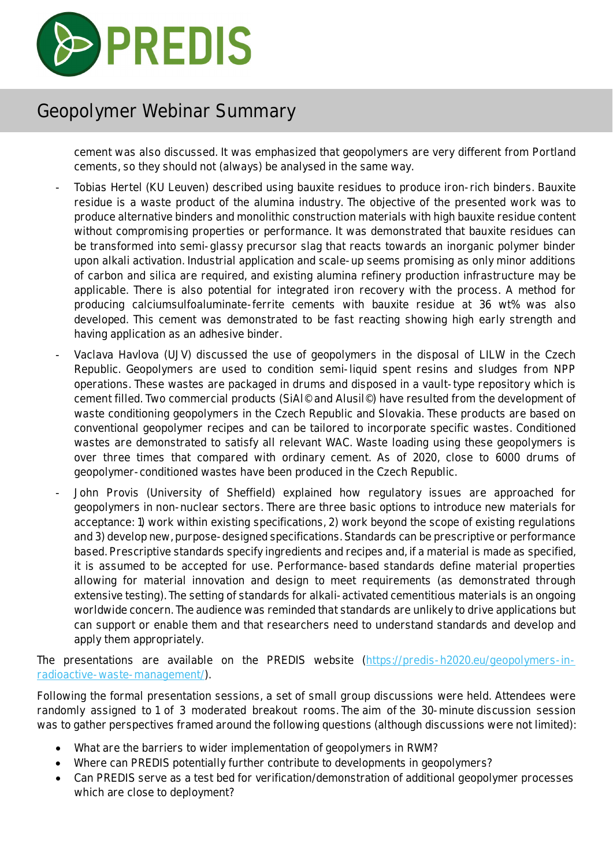

cement was also discussed. It was emphasized that geopolymers are very different from Portland cements, so they should not (always) be analysed in the same way.

- Tobias Hertel (KU Leuven) described using bauxite residues to produce iron-rich binders. Bauxite residue is a waste product of the alumina industry. The objective of the presented work was to produce alternative binders and monolithic construction materials with high bauxite residue content without compromising properties or performance. It was demonstrated that bauxite residues can be transformed into semi-glassy precursor slag that reacts towards an inorganic polymer binder upon alkali activation. Industrial application and scale-up seems promising as only minor additions of carbon and silica are required, and existing alumina refinery production infrastructure may be applicable. There is also potential for integrated iron recovery with the process. A method for producing calciumsulfoaluminate-ferrite cements with bauxite residue at 36 wt% was also developed. This cement was demonstrated to be fast reacting showing high early strength and having application as an adhesive binder.
- Vaclava Havlova (UJV) discussed the use of geopolymers in the disposal of LILW in the Czech Republic. Geopolymers are used to condition semi-liquid spent resins and sludges from NPP operations. These wastes are packaged in drums and disposed in a vault-type repository which is cement filled. Two commercial products (SiAl© and Alusil©) have resulted from the development of waste conditioning geopolymers in the Czech Republic and Slovakia. These products are based on conventional geopolymer recipes and can be tailored to incorporate specific wastes. Conditioned wastes are demonstrated to satisfy all relevant WAC. Waste loading using these geopolymers is over three times that compared with ordinary cement. As of 2020, close to 6000 drums of geopolymer-conditioned wastes have been produced in the Czech Republic.
- John Provis (University of Sheffield) explained how regulatory issues are approached for geopolymers in non-nuclear sectors. There are three basic options to introduce new materials for acceptance: 1) work within existing specifications, 2) work beyond the scope of existing regulations and 3) develop new, purpose-designed specifications. Standards can be prescriptive or performance based. Prescriptive standards specify ingredients and recipes and, if a material is made as specified, it is assumed to be accepted for use. Performance-based standards define material properties allowing for material innovation and design to meet requirements (as demonstrated through extensive testing). The setting of standards for alkali-activated cementitious materials is an ongoing worldwide concern. The audience was reminded that standards are unlikely to drive applications but can support or enable them and that researchers need to understand standards and develop and apply them appropriately.

The presentations are available on the PREDIS website (https://predis-h2020.eu/geopolymers-inradioactive-waste-management/).

Following the formal presentation sessions, a set of small group discussions were held. Attendees were randomly assigned to 1 of 3 moderated breakout rooms. The aim of the 30-minute discussion session was to gather perspectives framed around the following questions (although discussions were not limited):

- What are the barriers to wider implementation of geopolymers in RWM?
- Where can PREDIS potentially further contribute to developments in geopolymers?
- Can PREDIS serve as a test bed for verification/demonstration of additional geopolymer processes which are close to deployment?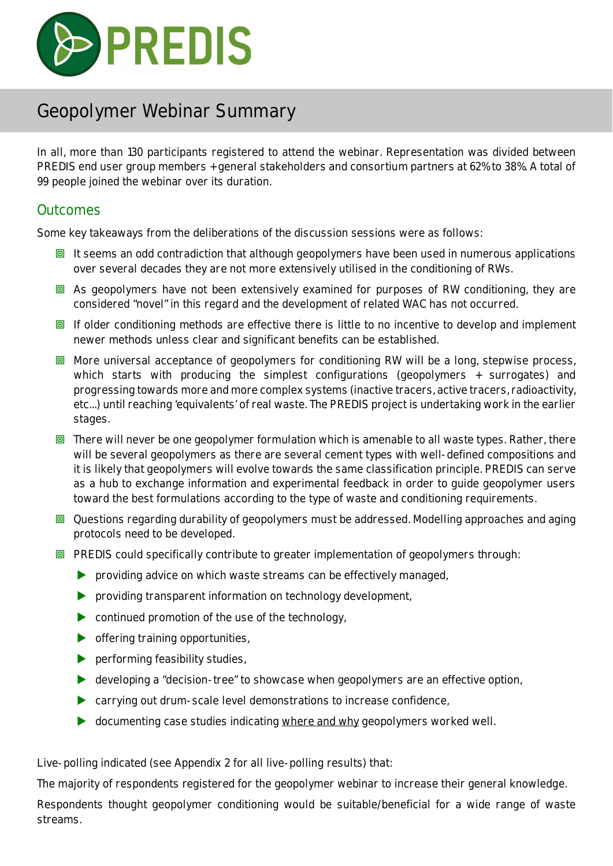

In all, more than 130 participants registered to attend the webinar. Representation was divided between PREDIS end user group members + general stakeholders and consortium partners at 62% to 38%. A total of 99 people joined the webinar over its duration.

#### **Outcomes**

Some key takeaways from the deliberations of the discussion sessions were as follows:

- $\Box$  It seems an odd contradiction that although geopolymers have been used in numerous applications over several decades they are not more extensively utilised in the conditioning of RWs.
- $\Box$  As geopolymers have not been extensively examined for purposes of RW conditioning, they are considered "novel" in this regard and the development of related WAC has not occurred.
- **回** If older conditioning methods are effective there is little to no incentive to develop and implement newer methods unless clear and significant benefits can be established.
- $\Box$  More universal acceptance of geopolymers for conditioning RW will be a long, stepwise process, which starts with producing the simplest configurations (geopolymers + surrogates) and progressing towards more and more complex systems (inactive tracers, active tracers, radioactivity, etc...) until reaching 'equivalents' of real waste. The PREDIS project is undertaking work in the earlier stages.
- $\Box$  There will never be one geopolymer formulation which is amenable to all waste types. Rather, there will be several geopolymers as there are several cement types with well-defined compositions and it is likely that geopolymers will evolve towards the same classification principle. PREDIS can serve as a hub to exchange information and experimental feedback in order to guide geopolymer users toward the best formulations according to the type of waste and conditioning requirements.
- **回** Questions regarding durability of geopolymers must be addressed. Modelling approaches and aging protocols need to be developed.
- $\Box$  PREDIS could specifically contribute to greater implementation of geopolymers through:
	- **P** providing advice on which waste streams can be effectively managed,
	- **P** providing transparent information on technology development,
	- $\triangleright$  continued promotion of the use of the technology,
	- $\triangleright$  offering training opportunities,
	- $\blacktriangleright$  performing feasibility studies,
	- ▶ developing a "decision-tree" to showcase when geopolymers are an effective option,
	- ▶ carrying out drum-scale level demonstrations to increase confidence,
	- **b** documenting case studies indicating where and why geopolymers worked well.

Live-polling indicated (see Appendix 2 for all live-polling results) that:

The majority of respondents registered for the geopolymer webinar to increase their general knowledge.

Respondents thought geopolymer conditioning would be suitable/beneficial for a wide range of waste streams.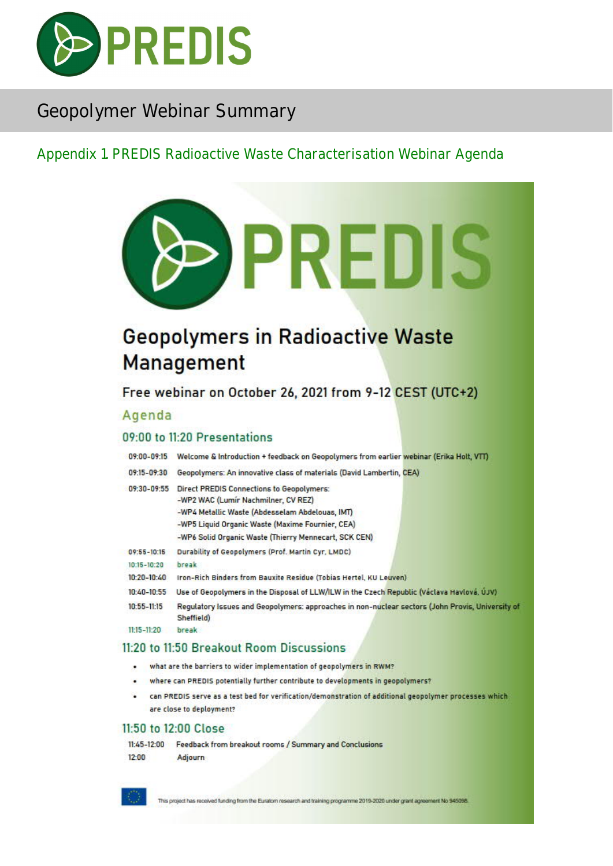

#### Appendix 1. PREDIS Radioactive Waste Characterisation Webinar Agenda



## **Geopolymers in Radioactive Waste Management**

Free webinar on October 26, 2021 from 9-12 CEST (UTC+2)

#### Agenda

#### 09:00 to 11:20 Presentations

09:00-09:15 Welcome & Introduction + feedback on Geopolymers from earlier webinar (Erika Holt, VTT)

|  |  | 09:15-09:30 Geopolymers: An innovative class of materials (David Lambertin, CEA) |  |
|--|--|----------------------------------------------------------------------------------|--|

| 09:30-09:55     | <b>Direct PREDIS Connections to Geopolymers:</b><br>-WP2 WAC (Lumír Nachmilner, CV REZ) |  |  |  |  |
|-----------------|-----------------------------------------------------------------------------------------|--|--|--|--|
|                 | -WP4 Metallic Waste (Abdesselam Abdelouas, IMT)                                         |  |  |  |  |
|                 | -WP5 Liquid Organic Waste (Maxime Fournier, CEA)                                        |  |  |  |  |
|                 | -WP6 Solid Organic Waste (Thierry Mennecart, SCK CEN)                                   |  |  |  |  |
| $09:55 - 10:15$ | Durability of Geopolymers (Prof. Martin Cyr. LMDC)                                      |  |  |  |  |
| $10:15 - 10:20$ | break                                                                                   |  |  |  |  |
| 10:20-10:40     | Iron-Rich Binders from Bauxite Residue (Tobias Hertel, KU Leuven)                       |  |  |  |  |

- 
- 10:40-10:55 Use of Geopolymers in the Disposal of LLW/ILW in the Czech Republic (Václava Havlová, ÚJV)  $10:55 - 11:15$ Requlatory Issues and Geopolymers: approaches in non-nuclear sectors (John Provis, University of Sheffield)
- $11:15 11:20$ break

#### 11:20 to 11:50 Breakout Room Discussions

- what are the barriers to wider implementation of geopolymers in RWM?
- where can PREDIS potentially further contribute to developments in geopolymers?
- can PREDIS serve as a test bed for verification/demonstration of additional geopolymer processes which are close to deployment?

#### 11:50 to 12:00 Close

11:45-12:00 Feedback from breakout rooms / Summary and Conclusions  $12:00$ Adjourn



This project has received funding from the Euratom research and training programme 2019-2020 under grant apreement No 945098.